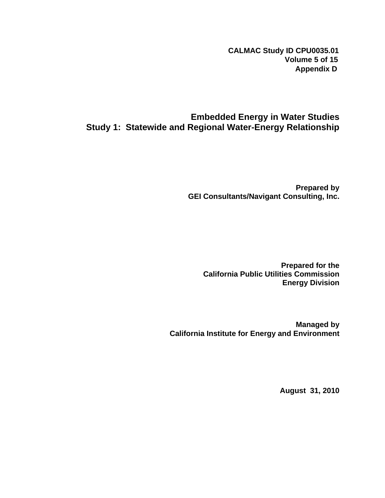**CALMAC Study ID CPU0035.01 Volume 5 of 15 Appendix D**

## **Embedded Energy in Water Studies Study 1: Statewide and Regional Water-Energy Relationship**

**Prepared by GEI Consultants/Navigant Consulting, Inc.** 

**Prepared for the California Public Utilities Commission Energy Division** 

**Managed by California Institute for Energy and Environment** 

**August 31, 2010**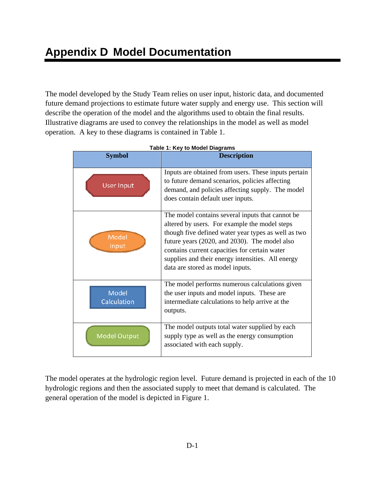The model developed by the Study Team relies on user input, historic data, and documented future demand projections to estimate future water supply and energy use. This section will describe the operation of the model and the algorithms used to obtain the final results. Illustrative diagrams are used to convey the relationships in the model as well as model operation. A key to these diagrams is contained in Table 1.

| <b>Symbol</b>        | <b>Description</b>                                                                                                                                                                                                                                                                                                                                  |  |
|----------------------|-----------------------------------------------------------------------------------------------------------------------------------------------------------------------------------------------------------------------------------------------------------------------------------------------------------------------------------------------------|--|
| <b>User Input</b>    | Inputs are obtained from users. These inputs pertain<br>to future demand scenarios, policies affecting<br>demand, and policies affecting supply. The model<br>does contain default user inputs.                                                                                                                                                     |  |
| Model<br>Input       | The model contains several inputs that cannot be<br>altered by users. For example the model steps<br>though five defined water year types as well as two<br>future years (2020, and 2030). The model also<br>contains current capacities for certain water<br>supplies and their energy intensities. All energy<br>data are stored as model inputs. |  |
| Model<br>Calculation | The model performs numerous calculations given<br>the user inputs and model inputs. These are<br>intermediate calculations to help arrive at the<br>outputs.                                                                                                                                                                                        |  |
| <b>Model Output</b>  | The model outputs total water supplied by each<br>supply type as well as the energy consumption<br>associated with each supply.                                                                                                                                                                                                                     |  |

|  |  |  |  | Table 1: Key to Model Diagrams |
|--|--|--|--|--------------------------------|
|--|--|--|--|--------------------------------|

The model operates at the hydrologic region level. Future demand is projected in each of the 10 hydrologic regions and then the associated supply to meet that demand is calculated. The general operation of the model is depicted in Figure 1.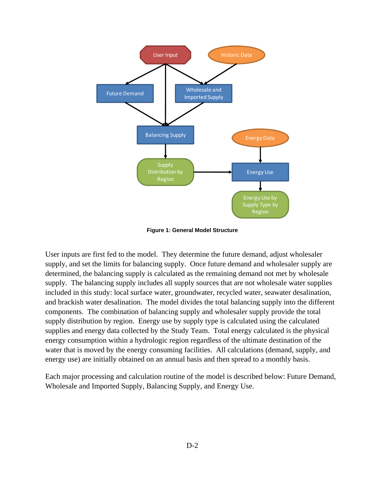

**Figure 1: General Model Structure** 

User inputs are first fed to the model. They determine the future demand, adjust wholesaler supply, and set the limits for balancing supply. Once future demand and wholesaler supply are determined, the balancing supply is calculated as the remaining demand not met by wholesale supply. The balancing supply includes all supply sources that are not wholesale water supplies included in this study: local surface water, groundwater, recycled water, seawater desalination, and brackish water desalination. The model divides the total balancing supply into the different components. The combination of balancing supply and wholesaler supply provide the total supply distribution by region. Energy use by supply type is calculated using the calculated supplies and energy data collected by the Study Team. Total energy calculated is the physical energy consumption within a hydrologic region regardless of the ultimate destination of the water that is moved by the energy consuming facilities. All calculations (demand, supply, and energy use) are initially obtained on an annual basis and then spread to a monthly basis.

Each major processing and calculation routine of the model is described below: Future Demand, Wholesale and Imported Supply, Balancing Supply, and Energy Use.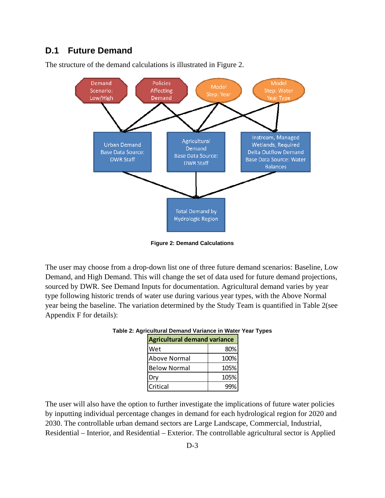### **D.1 Future Demand**



The structure of the demand calculations is illustrated in Figure 2.

**Figure 2: Demand Calculations** 

The user may choose from a drop-down list one of three future demand scenarios: Baseline, Low Demand, and High Demand. This will change the set of data used for future demand projections, sourced by DWR. See Demand Inputs for documentation. Agricultural demand varies by year type following historic trends of water use during various year types, with the Above Normal year being the baseline. The variation determined by the Study Team is quantified in Table 2(see Appendix F for details):

| <b>Agricultural demand variance</b> |      |  |
|-------------------------------------|------|--|
| Wet                                 | 80%  |  |
| Above Normal                        | 100% |  |
| <b>Below Normal</b>                 | 105% |  |
| Dry                                 | 105% |  |
| Critical                            |      |  |

The user will also have the option to further investigate the implications of future water policies by inputting individual percentage changes in demand for each hydrological region for 2020 and 2030. The controllable urban demand sectors are Large Landscape, Commercial, Industrial, Residential – Interior, and Residential – Exterior. The controllable agricultural sector is Applied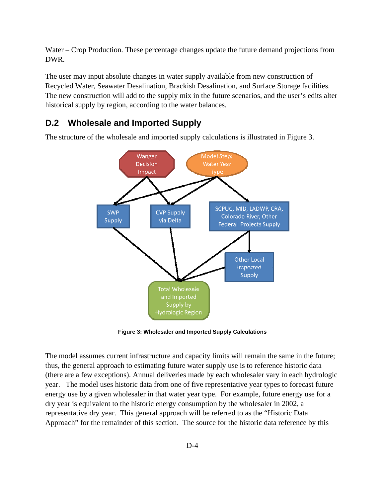Water – Crop Production. These percentage changes update the future demand projections from DWR.

The user may input absolute changes in water supply available from new construction of Recycled Water, Seawater Desalination, Brackish Desalination, and Surface Storage facilities. The new construction will add to the supply mix in the future scenarios, and the user's edits alter historical supply by region, according to the water balances.

#### **D.2 Wholesale and Imported Supply**

The structure of the wholesale and imported supply calculations is illustrated in Figure 3.



**Figure 3: Wholesaler and Imported Supply Calculations** 

The model assumes current infrastructure and capacity limits will remain the same in the future; thus, the general approach to estimating future water supply use is to reference historic data (there are a few exceptions). Annual deliveries made by each wholesaler vary in each hydrologic year. The model uses historic data from one of five representative year types to forecast future energy use by a given wholesaler in that water year type. For example, future energy use for a dry year is equivalent to the historic energy consumption by the wholesaler in 2002, a representative dry year. This general approach will be referred to as the "Historic Data Approach" for the remainder of this section. The source for the historic data reference by this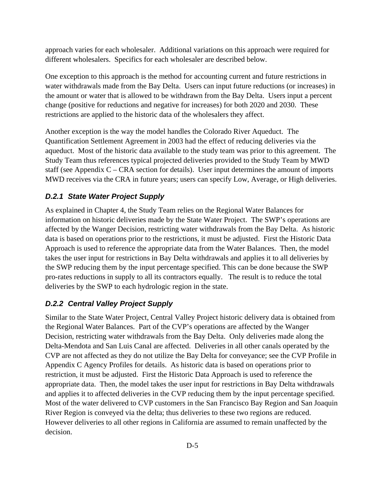approach varies for each wholesaler. Additional variations on this approach were required for different wholesalers. Specifics for each wholesaler are described below.

One exception to this approach is the method for accounting current and future restrictions in water withdrawals made from the Bay Delta. Users can input future reductions (or increases) in the amount or water that is allowed to be withdrawn from the Bay Delta. Users input a percent change (positive for reductions and negative for increases) for both 2020 and 2030. These restrictions are applied to the historic data of the wholesalers they affect.

Another exception is the way the model handles the Colorado River Aqueduct. The Quantification Settlement Agreement in 2003 had the effect of reducing deliveries via the aqueduct. Most of the historic data available to the study team was prior to this agreement. The Study Team thus references typical projected deliveries provided to the Study Team by MWD staff (see Appendix  $C - CRA$  section for details). User input determines the amount of imports MWD receives via the CRA in future years; users can specify Low, Average, or High deliveries.

#### *D.2.1 State Water Project Supply*

As explained in Chapter 4, the Study Team relies on the Regional Water Balances for information on historic deliveries made by the State Water Project. The SWP's operations are affected by the Wanger Decision, restricting water withdrawals from the Bay Delta. As historic data is based on operations prior to the restrictions, it must be adjusted. First the Historic Data Approach is used to reference the appropriate data from the Water Balances. Then, the model takes the user input for restrictions in Bay Delta withdrawals and applies it to all deliveries by the SWP reducing them by the input percentage specified. This can be done because the SWP pro-rates reductions in supply to all its contractors equally. The result is to reduce the total deliveries by the SWP to each hydrologic region in the state.

#### *D.2.2 Central Valley Project Supply*

Similar to the State Water Project, Central Valley Project historic delivery data is obtained from the Regional Water Balances. Part of the CVP's operations are affected by the Wanger Decision, restricting water withdrawals from the Bay Delta. Only deliveries made along the Delta-Mendota and San Luis Canal are affected. Deliveries in all other canals operated by the CVP are not affected as they do not utilize the Bay Delta for conveyance; see the CVP Profile in Appendix C Agency Profiles for details. As historic data is based on operations prior to restriction, it must be adjusted. First the Historic Data Approach is used to reference the appropriate data. Then, the model takes the user input for restrictions in Bay Delta withdrawals and applies it to affected deliveries in the CVP reducing them by the input percentage specified. Most of the water delivered to CVP customers in the San Francisco Bay Region and San Joaquin River Region is conveyed via the delta; thus deliveries to these two regions are reduced. However deliveries to all other regions in California are assumed to remain unaffected by the decision.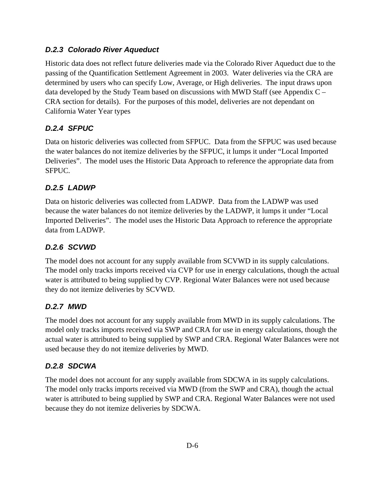#### *D.2.3 Colorado River Aqueduct*

Historic data does not reflect future deliveries made via the Colorado River Aqueduct due to the passing of the Quantification Settlement Agreement in 2003. Water deliveries via the CRA are determined by users who can specify Low, Average, or High deliveries. The input draws upon data developed by the Study Team based on discussions with MWD Staff (see Appendix C – CRA section for details). For the purposes of this model, deliveries are not dependant on California Water Year types

## *D.2.4 SFPUC*

Data on historic deliveries was collected from SFPUC. Data from the SFPUC was used because the water balances do not itemize deliveries by the SFPUC, it lumps it under "Local Imported Deliveries". The model uses the Historic Data Approach to reference the appropriate data from SFPUC.

## *D.2.5 LADWP*

Data on historic deliveries was collected from LADWP. Data from the LADWP was used because the water balances do not itemize deliveries by the LADWP, it lumps it under "Local Imported Deliveries". The model uses the Historic Data Approach to reference the appropriate data from LADWP.

## *D.2.6 SCVWD*

The model does not account for any supply available from SCVWD in its supply calculations. The model only tracks imports received via CVP for use in energy calculations, though the actual water is attributed to being supplied by CVP. Regional Water Balances were not used because they do not itemize deliveries by SCVWD.

#### *D.2.7 MWD*

The model does not account for any supply available from MWD in its supply calculations. The model only tracks imports received via SWP and CRA for use in energy calculations, though the actual water is attributed to being supplied by SWP and CRA. Regional Water Balances were not used because they do not itemize deliveries by MWD.

## *D.2.8 SDCWA*

The model does not account for any supply available from SDCWA in its supply calculations. The model only tracks imports received via MWD (from the SWP and CRA), though the actual water is attributed to being supplied by SWP and CRA. Regional Water Balances were not used because they do not itemize deliveries by SDCWA.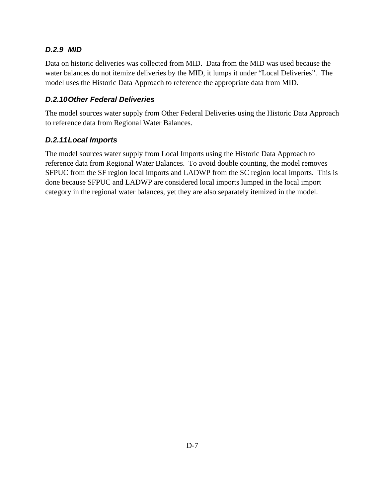### *D.2.9 MID*

Data on historic deliveries was collected from MID. Data from the MID was used because the water balances do not itemize deliveries by the MID, it lumps it under "Local Deliveries". The model uses the Historic Data Approach to reference the appropriate data from MID.

## *D.2.10 Other Federal Deliveries*

The model sources water supply from Other Federal Deliveries using the Historic Data Approach to reference data from Regional Water Balances.

#### *D.2.11 Local Imports*

The model sources water supply from Local Imports using the Historic Data Approach to reference data from Regional Water Balances. To avoid double counting, the model removes SFPUC from the SF region local imports and LADWP from the SC region local imports. This is done because SFPUC and LADWP are considered local imports lumped in the local import category in the regional water balances, yet they are also separately itemized in the model.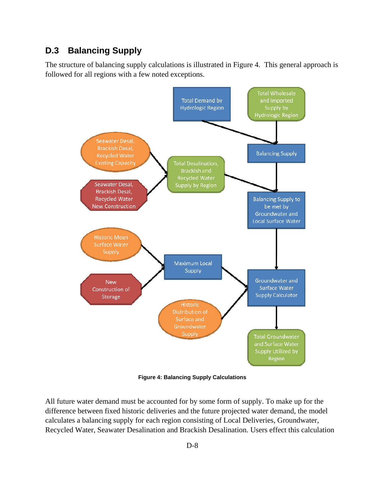## **D.3 Balancing Supply**

The structure of balancing supply calculations is illustrated in Figure 4. This general approach is followed for all regions with a few noted exceptions.

![](_page_8_Figure_2.jpeg)

**Figure 4: Balancing Supply Calculations** 

All future water demand must be accounted for by some form of supply. To make up for the difference between fixed historic deliveries and the future projected water demand, the model calculates a balancing supply for each region consisting of Local Deliveries, Groundwater, Recycled Water, Seawater Desalination and Brackish Desalination. Users effect this calculation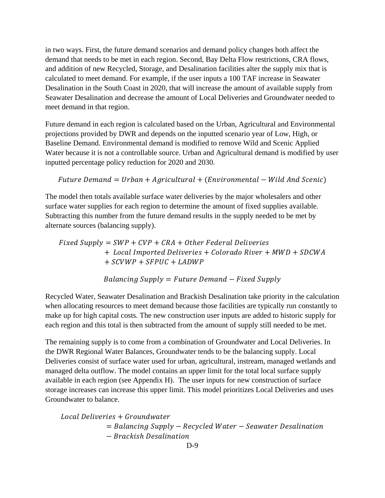in two ways. First, the future demand scenarios and demand policy changes both affect the demand that needs to be met in each region. Second, Bay Delta Flow restrictions, CRA flows, and addition of new Recycled, Storage, and Desalination facilities alter the supply mix that is calculated to meet demand. For example, if the user inputs a 100 TAF increase in Seawater Desalination in the South Coast in 2020, that will increase the amount of available supply from Seawater Desalination and decrease the amount of Local Deliveries and Groundwater needed to meet demand in that region.

Future demand in each region is calculated based on the Urban, Agricultural and Environmental projections provided by DWR and depends on the inputted scenario year of Low, High, or Baseline Demand. Environmental demand is modified to remove Wild and Scenic Applied Water because it is not a controllable source. Urban and Agricultural demand is modified by user inputted percentage policy reduction for 2020 and 2030.

Future Demand = Urban + Agricultural + (Environmental – Wild And Scenic)

The model then totals available surface water deliveries by the major wholesalers and other surface water supplies for each region to determine the amount of fixed supplies available. Subtracting this number from the future demand results in the supply needed to be met by alternate sources (balancing supply).

 $Fixed$  Supply = SWP + CVP + CRA + Other Federal Deliveries + Local Imported Deliveries + Colorado River + MWD + SDCWA  $+$  SCVWP  $+$  SFPUC  $+$  LADWP

Balancing Supply = Future Demand  $-$  Fixed Supply

Recycled Water, Seawater Desalination and Brackish Desalination take priority in the calculation when allocating resources to meet demand because those facilities are typically run constantly to make up for high capital costs. The new construction user inputs are added to historic supply for each region and this total is then subtracted from the amount of supply still needed to be met.

The remaining supply is to come from a combination of Groundwater and Local Deliveries. In the DWR Regional Water Balances, Groundwater tends to be the balancing supply. Local Deliveries consist of surface water used for urban, agricultural, instream, managed wetlands and managed delta outflow. The model contains an upper limit for the total local surface supply available in each region (see Appendix H). The user inputs for new construction of surface storage increases can increase this upper limit. This model prioritizes Local Deliveries and uses Groundwater to balance.

Local Deliveries + Groundwater  $=$  Balancing Supply – Recycled Water – Seawater Desalination ݊݅ݐ݈ܽ݅݊ܽݏ݁ܦ݄ ݏܽܿ݇݅ݎܤ െ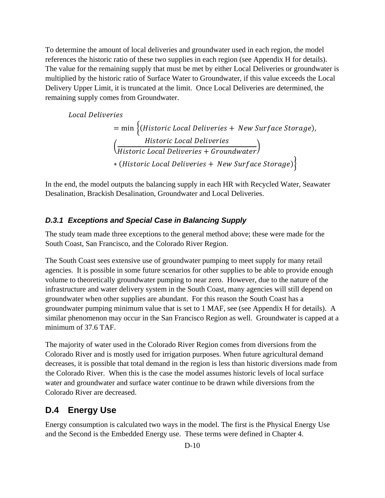To determine the amount of local deliveries and groundwater used in each region, the model references the historic ratio of these two supplies in each region (see Appendix H for details). The value for the remaining supply that must be met by either Local Deliveries or groundwater is multiplied by the historic ratio of Surface Water to Groundwater, if this value exceeds the Local Delivery Upper Limit, it is truncated at the limit. Once Local Deliveries are determined, the remaining supply comes from Groundwater.

Local Deliveries

= min {(Historic Local Deliveries + New Surf ace Storage), Historic Local Deliveries  $\frac{1}{N}$  (Historic Local Deliveries + Groundwater) \* (Historic Local Deliveries + New Surface Storage)

In the end, the model outputs the balancing supply in each HR with Recycled Water, Seawater Desalination, Brackish Desalination, Groundwater and Local Deliveries.

## *D.3.1 Exceptions and Special Case in Balancing Supply*

The study team made three exceptions to the general method above; these were made for the South Coast, San Francisco, and the Colorado River Region.

The South Coast sees extensive use of groundwater pumping to meet supply for many retail agencies. It is possible in some future scenarios for other supplies to be able to provide enough volume to theoretically groundwater pumping to near zero. However, due to the nature of the infrastructure and water delivery system in the South Coast, many agencies will still depend on groundwater when other supplies are abundant. For this reason the South Coast has a groundwater pumping minimum value that is set to 1 MAF, see (see Appendix H for details). A similar phenomenon may occur in the San Francisco Region as well. Groundwater is capped at a minimum of 37.6 TAF.

The majority of water used in the Colorado River Region comes from diversions from the Colorado River and is mostly used for irrigation purposes. When future agricultural demand decreases, it is possible that total demand in the region is less than historic diversions made from the Colorado River. When this is the case the model assumes historic levels of local surface water and groundwater and surface water continue to be drawn while diversions from the Colorado River are decreased.

# **D.4 Energy Use**

Energy consumption is calculated two ways in the model. The first is the Physical Energy Use and the Second is the Embedded Energy use. These terms were defined in Chapter 4.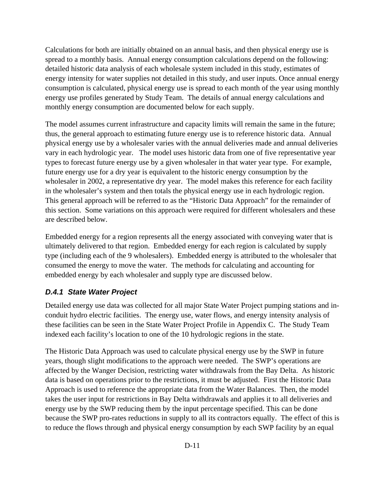Calculations for both are initially obtained on an annual basis, and then physical energy use is spread to a monthly basis. Annual energy consumption calculations depend on the following: detailed historic data analysis of each wholesale system included in this study, estimates of energy intensity for water supplies not detailed in this study, and user inputs. Once annual energy consumption is calculated, physical energy use is spread to each month of the year using monthly energy use profiles generated by Study Team. The details of annual energy calculations and monthly energy consumption are documented below for each supply.

The model assumes current infrastructure and capacity limits will remain the same in the future; thus, the general approach to estimating future energy use is to reference historic data. Annual physical energy use by a wholesaler varies with the annual deliveries made and annual deliveries vary in each hydrologic year. The model uses historic data from one of five representative year types to forecast future energy use by a given wholesaler in that water year type. For example, future energy use for a dry year is equivalent to the historic energy consumption by the wholesaler in 2002, a representative dry year. The model makes this reference for each facility in the wholesaler's system and then totals the physical energy use in each hydrologic region. This general approach will be referred to as the "Historic Data Approach" for the remainder of this section. Some variations on this approach were required for different wholesalers and these are described below.

Embedded energy for a region represents all the energy associated with conveying water that is ultimately delivered to that region. Embedded energy for each region is calculated by supply type (including each of the 9 wholesalers). Embedded energy is attributed to the wholesaler that consumed the energy to move the water. The methods for calculating and accounting for embedded energy by each wholesaler and supply type are discussed below.

#### *D.4.1 State Water Project*

Detailed energy use data was collected for all major State Water Project pumping stations and inconduit hydro electric facilities. The energy use, water flows, and energy intensity analysis of these facilities can be seen in the State Water Project Profile in Appendix C. The Study Team indexed each facility's location to one of the 10 hydrologic regions in the state.

The Historic Data Approach was used to calculate physical energy use by the SWP in future years, though slight modifications to the approach were needed. The SWP's operations are affected by the Wanger Decision, restricting water withdrawals from the Bay Delta. As historic data is based on operations prior to the restrictions, it must be adjusted. First the Historic Data Approach is used to reference the appropriate data from the Water Balances. Then, the model takes the user input for restrictions in Bay Delta withdrawals and applies it to all deliveries and energy use by the SWP reducing them by the input percentage specified. This can be done because the SWP pro-rates reductions in supply to all its contractors equally. The effect of this is to reduce the flows through and physical energy consumption by each SWP facility by an equal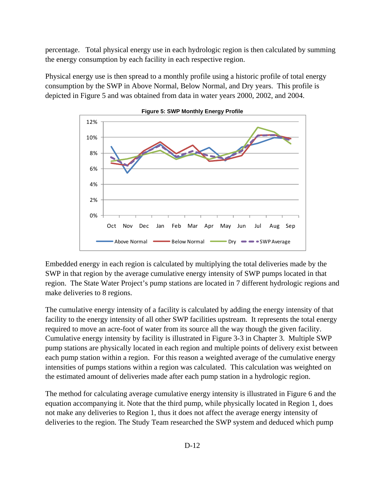percentage. Total physical energy use in each hydrologic region is then calculated by summing the energy consumption by each facility in each respective region.

Physical energy use is then spread to a monthly profile using a historic profile of total energy consumption by the SWP in Above Normal, Below Normal, and Dry years. This profile is depicted in Figure 5 and was obtained from data in water years 2000, 2002, and 2004.

![](_page_12_Figure_2.jpeg)

**Figure 5: SWP Monthly Energy Profile** 

Embedded energy in each region is calculated by multiplying the total deliveries made by the SWP in that region by the average cumulative energy intensity of SWP pumps located in that region. The State Water Project's pump stations are located in 7 different hydrologic regions and make deliveries to 8 regions.

The cumulative energy intensity of a facility is calculated by adding the energy intensity of that facility to the energy intensity of all other SWP facilities upstream. It represents the total energy required to move an acre-foot of water from its source all the way though the given facility. Cumulative energy intensity by facility is illustrated in Figure 3-3 in Chapter 3. Multiple SWP pump stations are physically located in each region and multiple points of delivery exist between each pump station within a region. For this reason a weighted average of the cumulative energy intensities of pumps stations within a region was calculated. This calculation was weighted on the estimated amount of deliveries made after each pump station in a hydrologic region.

The method for calculating average cumulative energy intensity is illustrated in Figure 6 and the equation accompanying it. Note that the third pump, while physically located in Region 1, does not make any deliveries to Region 1, thus it does not affect the average energy intensity of deliveries to the region. The Study Team researched the SWP system and deduced which pump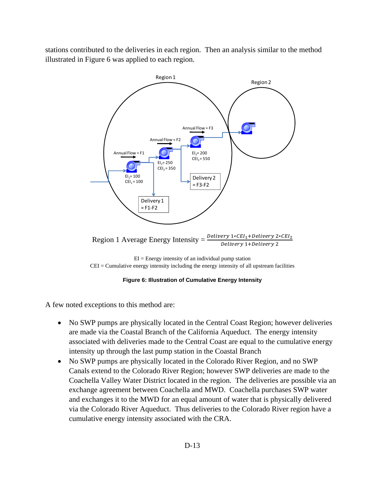stations contributed to the deliveries in each region. Then an analysis similar to the method illustrated in Figure 6 was applied to each region.

![](_page_13_Figure_1.jpeg)

 $EI = Energy$  intensity of an individual pump station CEI = Cumulative energy intensity including the energy intensity of all upstream facilities

#### **Figure 6: Illustration of Cumulative Energy Intensity**

A few noted exceptions to this method are:

- No SWP pumps are physically located in the Central Coast Region; however deliveries are made via the Coastal Branch of the California Aqueduct. The energy intensity associated with deliveries made to the Central Coast are equal to the cumulative energy intensity up through the last pump station in the Coastal Branch
- No SWP pumps are physically located in the Colorado River Region, and no SWP Canals extend to the Colorado River Region; however SWP deliveries are made to the Coachella Valley Water District located in the region. The deliveries are possible via an exchange agreement between Coachella and MWD. Coachella purchases SWP water and exchanges it to the MWD for an equal amount of water that is physically delivered via the Colorado River Aqueduct. Thus deliveries to the Colorado River region have a cumulative energy intensity associated with the CRA.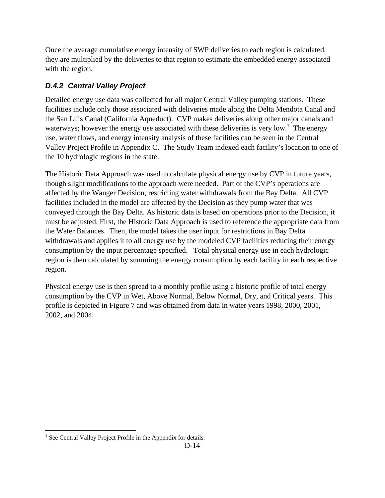Once the average cumulative energy intensity of SWP deliveries to each region is calculated, they are multiplied by the deliveries to that region to estimate the embedded energy associated with the region.

## *D.4.2 Central Valley Project*

Detailed energy use data was collected for all major Central Valley pumping stations. These facilities include only those associated with deliveries made along the Delta Mendota Canal and the San Luis Canal (California Aqueduct). CVP makes deliveries along other major canals and waterways; however the energy use associated with these deliveries is very low.<sup>1</sup> The energy use, water flows, and energy intensity analysis of these facilities can be seen in the Central Valley Project Profile in Appendix C. The Study Team indexed each facility's location to one of the 10 hydrologic regions in the state.

The Historic Data Approach was used to calculate physical energy use by CVP in future years, though slight modifications to the approach were needed. Part of the CVP's operations are affected by the Wanger Decision, restricting water withdrawals from the Bay Delta. All CVP facilities included in the model are affected by the Decision as they pump water that was conveyed through the Bay Delta. As historic data is based on operations prior to the Decision, it must be adjusted. First, the Historic Data Approach is used to reference the appropriate data from the Water Balances. Then, the model takes the user input for restrictions in Bay Delta withdrawals and applies it to all energy use by the modeled CVP facilities reducing their energy consumption by the input percentage specified. Total physical energy use in each hydrologic region is then calculated by summing the energy consumption by each facility in each respective region.

Physical energy use is then spread to a monthly profile using a historic profile of total energy consumption by the CVP in Wet, Above Normal, Below Normal, Dry, and Critical years. This profile is depicted in Figure 7 and was obtained from data in water years 1998, 2000, 2001, 2002, and 2004.

 $\overline{a}$ <sup>1</sup> See Central Valley Project Profile in the Appendix for details.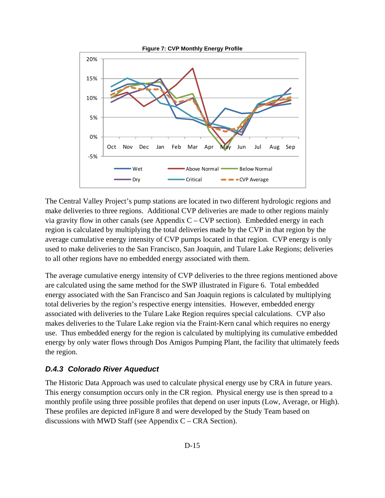![](_page_15_Figure_0.jpeg)

The Central Valley Project's pump stations are located in two different hydrologic regions and make deliveries to three regions. Additional CVP deliveries are made to other regions mainly via gravity flow in other canals (see Appendix  $C - CVP$  section). Embedded energy in each region is calculated by multiplying the total deliveries made by the CVP in that region by the average cumulative energy intensity of CVP pumps located in that region. CVP energy is only used to make deliveries to the San Francisco, San Joaquin, and Tulare Lake Regions; deliveries to all other regions have no embedded energy associated with them.

The average cumulative energy intensity of CVP deliveries to the three regions mentioned above are calculated using the same method for the SWP illustrated in Figure 6. Total embedded energy associated with the San Francisco and San Joaquin regions is calculated by multiplying total deliveries by the region's respective energy intensities. However, embedded energy associated with deliveries to the Tulare Lake Region requires special calculations. CVP also makes deliveries to the Tulare Lake region via the Fraint-Kern canal which requires no energy use. Thus embedded energy for the region is calculated by multiplying its cumulative embedded energy by only water flows through Dos Amigos Pumping Plant, the facility that ultimately feeds the region.

#### *D.4.3 Colorado River Aqueduct*

The Historic Data Approach was used to calculate physical energy use by CRA in future years. This energy consumption occurs only in the CR region. Physical energy use is then spread to a monthly profile using three possible profiles that depend on user inputs (Low, Average, or High). These profiles are depicted inFigure 8 and were developed by the Study Team based on discussions with MWD Staff (see Appendix C – CRA Section).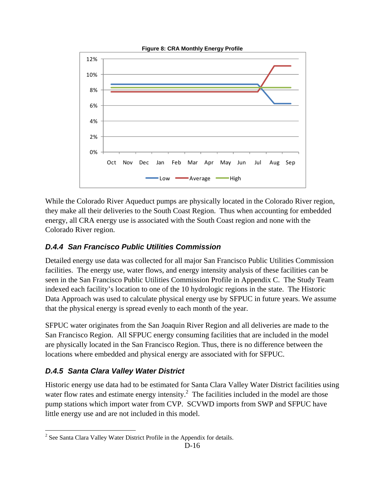![](_page_16_Figure_0.jpeg)

While the Colorado River Aqueduct pumps are physically located in the Colorado River region, they make all their deliveries to the South Coast Region. Thus when accounting for embedded energy, all CRA energy use is associated with the South Coast region and none with the Colorado River region.

## *D.4.4 San Francisco Public Utilities Commission*

Detailed energy use data was collected for all major San Francisco Public Utilities Commission facilities. The energy use, water flows, and energy intensity analysis of these facilities can be seen in the San Francisco Public Utilities Commission Profile in Appendix C. The Study Team indexed each facility's location to one of the 10 hydrologic regions in the state. The Historic Data Approach was used to calculate physical energy use by SFPUC in future years. We assume that the physical energy is spread evenly to each month of the year.

SFPUC water originates from the San Joaquin River Region and all deliveries are made to the San Francisco Region. All SFPUC energy consuming facilities that are included in the model are physically located in the San Francisco Region. Thus, there is no difference between the locations where embedded and physical energy are associated with for SFPUC.

## *D.4.5 Santa Clara Valley Water District*

Historic energy use data had to be estimated for Santa Clara Valley Water District facilities using water flow rates and estimate energy intensity.<sup>2</sup> The facilities included in the model are those pump stations which import water from CVP. SCVWD imports from SWP and SFPUC have little energy use and are not included in this model.

<sup>&</sup>lt;sup>2</sup> See Santa Clara Valley Water District Profile in the Appendix for details.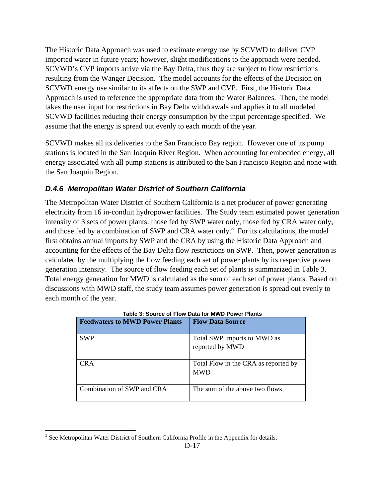The Historic Data Approach was used to estimate energy use by SCVWD to deliver CVP imported water in future years; however, slight modifications to the approach were needed. SCVWD's CVP imports arrive via the Bay Delta, thus they are subject to flow restrictions resulting from the Wanger Decision. The model accounts for the effects of the Decision on SCVWD energy use similar to its affects on the SWP and CVP. First, the Historic Data Approach is used to reference the appropriate data from the Water Balances. Then, the model takes the user input for restrictions in Bay Delta withdrawals and applies it to all modeled SCVWD facilities reducing their energy consumption by the input percentage specified. We assume that the energy is spread out evenly to each month of the year.

SCVWD makes all its deliveries to the San Francisco Bay region. However one of its pump stations is located in the San Joaquin River Region. When accounting for embedded energy, all energy associated with all pump stations is attributed to the San Francisco Region and none with the San Joaquin Region.

## *D.4.6 Metropolitan Water District of Southern California*

The Metropolitan Water District of Southern California is a net producer of power generating electricity from 16 in-conduit hydropower facilities. The Study team estimated power generation intensity of 3 sets of power plants: those fed by SWP water only, those fed by CRA water only, and those fed by a combination of SWP and CRA water only.<sup>3</sup> For its calculations, the model first obtains annual imports by SWP and the CRA by using the Historic Data Approach and accounting for the effects of the Bay Delta flow restrictions on SWP. Then, power generation is calculated by the multiplying the flow feeding each set of power plants by its respective power generation intensity. The source of flow feeding each set of plants is summarized in Table 3. Total energy generation for MWD is calculated as the sum of each set of power plants. Based on discussions with MWD staff, the study team assumes power generation is spread out evenly to each month of the year.

| <b>Feedwaters to MWD Power Plants</b> | <b>Flow Data Source</b>                            |
|---------------------------------------|----------------------------------------------------|
| <b>SWP</b>                            | Total SWP imports to MWD as<br>reported by MWD     |
| CR A                                  | Total Flow in the CRA as reported by<br><b>MWD</b> |
| Combination of SWP and CRA            | The sum of the above two flows                     |

| Table 3: Source of Flow Data for MWD Power Plants |
|---------------------------------------------------|
|                                                   |

 $\overline{a}$  $3$  See Metropolitan Water District of Southern California Profile in the Appendix for details.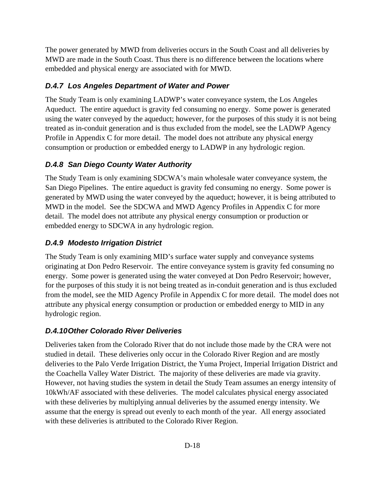The power generated by MWD from deliveries occurs in the South Coast and all deliveries by MWD are made in the South Coast. Thus there is no difference between the locations where embedded and physical energy are associated with for MWD.

## *D.4.7 Los Angeles Department of Water and Power*

The Study Team is only examining LADWP's water conveyance system, the Los Angeles Aqueduct. The entire aqueduct is gravity fed consuming no energy. Some power is generated using the water conveyed by the aqueduct; however, for the purposes of this study it is not being treated as in-conduit generation and is thus excluded from the model, see the LADWP Agency Profile in Appendix C for more detail. The model does not attribute any physical energy consumption or production or embedded energy to LADWP in any hydrologic region.

## *D.4.8 San Diego County Water Authority*

The Study Team is only examining SDCWA's main wholesale water conveyance system, the San Diego Pipelines. The entire aqueduct is gravity fed consuming no energy. Some power is generated by MWD using the water conveyed by the aqueduct; however, it is being attributed to MWD in the model. See the SDCWA and MWD Agency Profiles in Appendix C for more detail. The model does not attribute any physical energy consumption or production or embedded energy to SDCWA in any hydrologic region.

## *D.4.9 Modesto Irrigation District*

The Study Team is only examining MID's surface water supply and conveyance systems originating at Don Pedro Reservoir. The entire conveyance system is gravity fed consuming no energy. Some power is generated using the water conveyed at Don Pedro Reservoir; however, for the purposes of this study it is not being treated as in-conduit generation and is thus excluded from the model, see the MID Agency Profile in Appendix C for more detail. The model does not attribute any physical energy consumption or production or embedded energy to MID in any hydrologic region.

## *D.4.10 Other Colorado River Deliveries*

Deliveries taken from the Colorado River that do not include those made by the CRA were not studied in detail. These deliveries only occur in the Colorado River Region and are mostly deliveries to the Palo Verde Irrigation District, the Yuma Project, Imperial Irrigation District and the Coachella Valley Water District. The majority of these deliveries are made via gravity. However, not having studies the system in detail the Study Team assumes an energy intensity of 10kWh/AF associated with these deliveries. The model calculates physical energy associated with these deliveries by multiplying annual deliveries by the assumed energy intensity. We assume that the energy is spread out evenly to each month of the year. All energy associated with these deliveries is attributed to the Colorado River Region.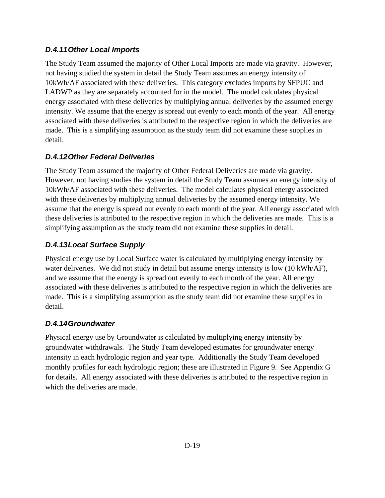### *D.4.11 Other Local Imports*

The Study Team assumed the majority of Other Local Imports are made via gravity. However, not having studied the system in detail the Study Team assumes an energy intensity of 10kWh/AF associated with these deliveries. This category excludes imports by SFPUC and LADWP as they are separately accounted for in the model. The model calculates physical energy associated with these deliveries by multiplying annual deliveries by the assumed energy intensity. We assume that the energy is spread out evenly to each month of the year. All energy associated with these deliveries is attributed to the respective region in which the deliveries are made. This is a simplifying assumption as the study team did not examine these supplies in detail.

## *D.4.12 Other Federal Deliveries*

The Study Team assumed the majority of Other Federal Deliveries are made via gravity. However, not having studies the system in detail the Study Team assumes an energy intensity of 10kWh/AF associated with these deliveries. The model calculates physical energy associated with these deliveries by multiplying annual deliveries by the assumed energy intensity. We assume that the energy is spread out evenly to each month of the year. All energy associated with these deliveries is attributed to the respective region in which the deliveries are made. This is a simplifying assumption as the study team did not examine these supplies in detail.

## *D.4.13 Local Surface Supply*

Physical energy use by Local Surface water is calculated by multiplying energy intensity by water deliveries. We did not study in detail but assume energy intensity is low (10 kWh/AF), and we assume that the energy is spread out evenly to each month of the year. All energy associated with these deliveries is attributed to the respective region in which the deliveries are made. This is a simplifying assumption as the study team did not examine these supplies in detail.

## *D.4.14 Groundwater*

Physical energy use by Groundwater is calculated by multiplying energy intensity by groundwater withdrawals. The Study Team developed estimates for groundwater energy intensity in each hydrologic region and year type. Additionally the Study Team developed monthly profiles for each hydrologic region; these are illustrated in Figure 9. See Appendix G for details. All energy associated with these deliveries is attributed to the respective region in which the deliveries are made.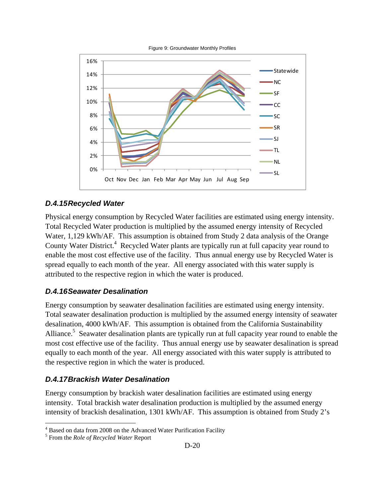![](_page_20_Figure_0.jpeg)

#### *D.4.15 Recycled Water*

Physical energy consumption by Recycled Water facilities are estimated using energy intensity. Total Recycled Water production is multiplied by the assumed energy intensity of Recycled Water, 1,129 kWh/AF. This assumption is obtained from Study 2 data analysis of the Orange County Water District.<sup>4</sup> Recycled Water plants are typically run at full capacity year round to enable the most cost effective use of the facility. Thus annual energy use by Recycled Water is spread equally to each month of the year. All energy associated with this water supply is attributed to the respective region in which the water is produced.

#### *D.4.16 Seawater Desalination*

Energy consumption by seawater desalination facilities are estimated using energy intensity. Total seawater desalination production is multiplied by the assumed energy intensity of seawater desalination, 4000 kWh/AF. This assumption is obtained from the California Sustainability Alliance.<sup>5</sup> Seawater desalination plants are typically run at full capacity year round to enable the most cost effective use of the facility. Thus annual energy use by seawater desalination is spread equally to each month of the year. All energy associated with this water supply is attributed to the respective region in which the water is produced.

#### *D.4.17 Brackish Water Desalination*

Energy consumption by brackish water desalination facilities are estimated using energy intensity. Total brackish water desalination production is multiplied by the assumed energy intensity of brackish desalination, 1301 kWh/AF. This assumption is obtained from Study 2's

 $\overline{a}$ 

<sup>&</sup>lt;sup>4</sup> Based on data from 2008 on the Advanced Water Purification Facility

<sup>5</sup> From the *Role of Recycled Water* Report